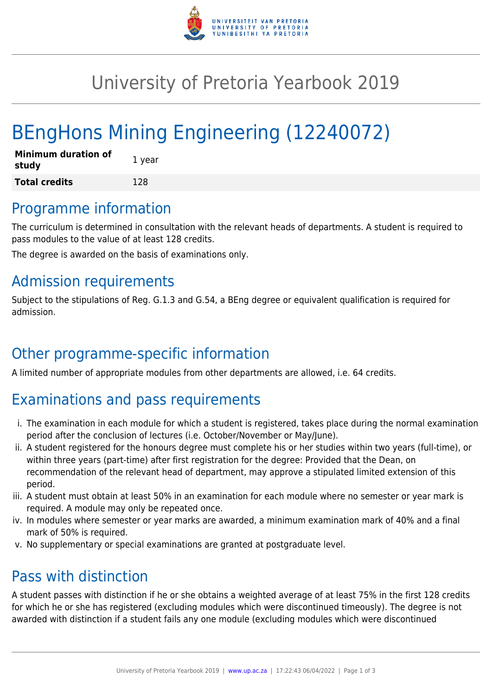

## University of Pretoria Yearbook 2019

# BEngHons Mining Engineering (12240072)

| Minimum duration of<br>study | 1 year |
|------------------------------|--------|
| <b>Total credits</b>         | 128    |

#### Programme information

The curriculum is determined in consultation with the relevant heads of departments. A student is required to pass modules to the value of at least 128 credits.

The degree is awarded on the basis of examinations only.

#### Admission requirements

Subject to the stipulations of Reg. G.1.3 and G.54, a BEng degree or equivalent qualification is required for admission.

### Other programme-specific information

A limited number of appropriate modules from other departments are allowed, i.e. 64 credits.

### Examinations and pass requirements

- i. The examination in each module for which a student is registered, takes place during the normal examination period after the conclusion of lectures (i.e. October/November or May/June).
- ii. A student registered for the honours degree must complete his or her studies within two years (full-time), or within three years (part-time) after first registration for the degree: Provided that the Dean, on recommendation of the relevant head of department, may approve a stipulated limited extension of this period.
- iii. A student must obtain at least 50% in an examination for each module where no semester or year mark is required. A module may only be repeated once.
- iv. In modules where semester or year marks are awarded, a minimum examination mark of 40% and a final mark of 50% is required.
- v. No supplementary or special examinations are granted at postgraduate level.

#### Pass with distinction

A student passes with distinction if he or she obtains a weighted average of at least 75% in the first 128 credits for which he or she has registered (excluding modules which were discontinued timeously). The degree is not awarded with distinction if a student fails any one module (excluding modules which were discontinued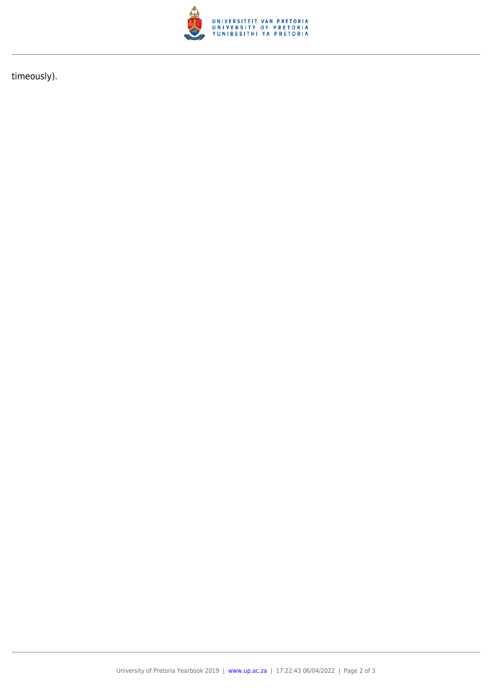

timeously).